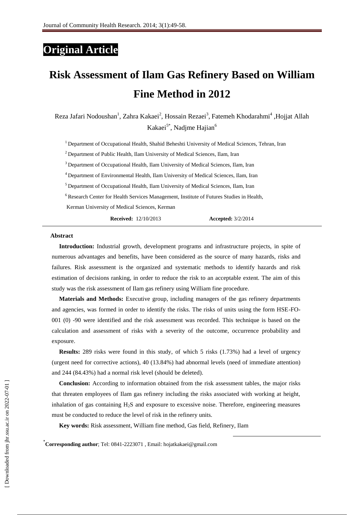## **Original Article**

# **Risk Assessment of Ilam Gas Refinery Based on William Fine Method in 2012**

Reza Jafari Nodoushan<sup>1</sup>, Zahra Kakaei<sup>2</sup>, Hossain Rezaei<sup>3</sup>, Fatemeh Khodarahmi<sup>4</sup>, Hojjat Allah Kakaei<sup>5\*</sup>, Nadjme Hajian<sup>6</sup>

<sup>1</sup> Department of Occupational Health, Shahid Beheshti University of Medical Sciences, Tehran, Iran

<sup>2</sup> Department of Public Health, Ilam University of Medical Sciences, Ilam, Iran

<sup>3</sup> Department of Occupational Health, Ilam University of Medical Sciences, Ilam, Iran

<sup>4</sup>Department of Environmental Health, Ilam University of Medical Sciences, Ilam, Iran

<sup>5</sup> Department of Occupational Health, Ilam University of Medical Sciences, Ilam, Iran

<sup>6</sup> Research Center for Health Services Management, Institute of Futures Studies in Health,

Kerman University of Medical Sciences, Kerman

**Received:** 12/10/2013 **Accepted:** 3/2/2014

1

#### **Abstract**

**Introduction:** Industrial growth, development programs and infrastructure projects, in spite of numerous advantages and benefits, have been considered as the source of many hazards, risks and failures. Risk assessment is the organized and systematic methods to identify hazards and risk estimation of decisions ranking, in order to reduce the risk to an acceptable extent. The aim of this study was the risk assessment of Ilam gas refinery using William fine procedure.

**Materials and Methods:** Executive group, including managers of the gas refinery departments and agencies, was formed in order to identify the risks. The risks of units using the form HSE-FO-001 (0) -90 were identified and the risk assessment was recorded. This technique is based on the calculation and assessment of risks with a severity of the outcome, occurrence probability and exposure.

**Results:** 289 risks were found in this study, of which 5 risks (1.73%) had a level of urgency (urgent need for corrective actions), 40 (13.84%) had abnormal levels (need of immediate attention) and 244 (84.43%) had a normal risk level (should be deleted).

**Conclusion:** According to information obtained from the risk assessment tables, the major risks that threaten employees of Ilam gas refinery including the risks associated with working at height, inhalation of gas containing  $H_2S$  and exposure to excessive noise. Therefore, engineering measures must be conducted to reduce the level of risk in the refinery units.

**Key words:** Risk assessment, William fine method, Gas field, Refinery, Ilam

\* **Corresponding author**; [Tel: 0841-2223071](mailto:Tel:%2009134513214) , Email[: hojatkakaei@gmail.com](mailto:hojatkakaei@gmail.com)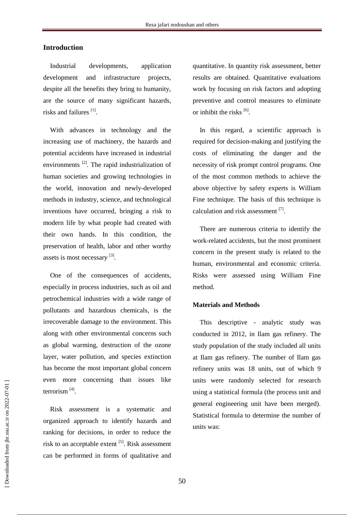## **Introduction**

Industrial developments, application development and infrastructure projects, despite all the benefits they bring to humanity, are the source of many significant hazards, risks and failures<sup>[1]</sup>.

With advances in technology and the increasing use of machinery, the hazards and potential accidents have increased in industrial environments<sup>[2]</sup>. The rapid industrialization of human societies and growing technologies in the world, innovation and newly-developed methods in industry, science, and technological inventions have occurred, bringing a risk to modern life by what people had created with their own hands. In this condition, the preservation of health, labor and other worthy assets is most necessary [3].

One of the consequences of accidents, especially in process industries, such as oil and petrochemical industries with a wide range of pollutants and hazardous chemicals, is the irrecoverable damage to the environment. This along with other environmental concerns such as global warming, destruction of the ozone layer, water pollution, and species extinction has become the most important global concern even more concerning than issues like terrorism<sup>[4]</sup>.

Risk assessment is a systematic and organized approach to identify hazards and ranking for decisions, in order to reduce the risk to an acceptable extent <sup>[5]</sup>. Risk assessment can be performed in forms of qualitative and

quantitative. In quantity risk assessment, better results are obtained. Quantitative evaluations work by focusing on risk factors and adopting preventive and control measures to eliminate or inhibit the risks [6].

In this regard, a scientific approach is required for decision-making and justifying the costs of eliminating the danger and the necessity of risk prompt control programs. One of the most common methods to achieve the above objective by safety experts is William Fine technique. The basis of this technique is calculation and risk assessment [7].

There are numerous criteria to identify the work-related accidents, but the most prominent concern in the present study is related to the human, environmental and economic criteria. Risks were assessed using William Fine method.

## **Materials and Methods**

This descriptive - analytic study was conducted in 2012, in Ilam gas refinery. The study population of the study included all units at Ilam gas refinery. The number of Ilam gas refinery units was 18 units, out of which 9 units were randomly selected for research using a statistical formula (the process unit and general engineering unit have been merged). Statistical formula to determine the number of units was: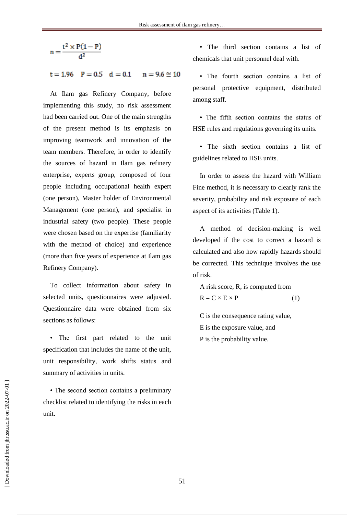$$
n = \frac{t^2 \times P(1 - P)}{d^2}
$$
  
t = 1.96 P = 0.5 d = 0.1 n = 9.6  $\approx$  10

At Ilam gas Refinery Company, before implementing this study, no risk assessment had been carried out. One of the main strengths of the present method is its emphasis on improving teamwork and innovation of the team members. Therefore, in order to identify the sources of hazard in Ilam gas refinery enterprise, experts group, composed of four people including occupational health expert (one person), Master holder of Environmental Management (one person), and specialist in industrial safety (two people). These people were chosen based on the expertise (familiarity with the method of choice) and experience (more than five years of experience at Ilam gas Refinery Company).

To collect information about safety in selected units, questionnaires were adjusted. Questionnaire data were obtained from six sections as follows:

• The first part related to the unit specification that includes the name of the unit, unit responsibility, work shifts status and summary of activities in units.

• The second section contains a preliminary checklist related to identifying the risks in each unit.

• The third section contains a list of chemicals that unit personnel deal with.

• The fourth section contains a list of personal protective equipment, distributed among staff.

• The fifth section contains the status of HSE rules and regulations governing its units.

• The sixth section contains a list of guidelines related to HSE units.

In order to assess the hazard with William Fine method, it is necessary to clearly rank the severity, probability and risk exposure of each aspect of its activities (Table 1).

A method of decision-making is well developed if the cost to correct a hazard is calculated and also how rapidly hazards should be corrected. This technique involves the use of risk.

A risk score, R, is computed from  $R = C \times E \times P$  (1)

C is the consequence rating value, E is the exposure value, and P is the probability value.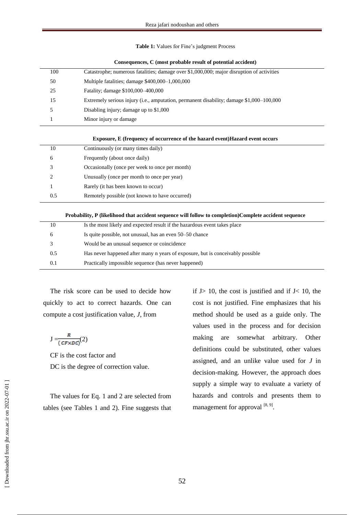**Table 1:** Values for Fine's judgment Process

| Consequences, C (most probable result of potential accident) |  |  |  |  |  |
|--------------------------------------------------------------|--|--|--|--|--|
|--------------------------------------------------------------|--|--|--|--|--|

| 100 | Catastrophe; numerous fatalities; damage over \$1,000,000; major disruption of activities |
|-----|-------------------------------------------------------------------------------------------|
| 50  | Multiple fatalities; damage \$400,000–1,000,000                                           |
| 25  | Fatality; damage \$100,000–400,000                                                        |
| 15  | Extremely serious injury (i.e., amputation, permanent disability; damage \$1,000–100,000  |
|     | Disabling injury; damage up to $$1,000$                                                   |
|     | Minor injury or damage                                                                    |
|     |                                                                                           |

#### **Exposure, E (frequency of occurrence of the hazard event)Hazard event occurs**

| 10  | Continuously (or many times daily)             |
|-----|------------------------------------------------|
| 6   | Frequently (about once daily)                  |
| 3   | Occasionally (once per week to once per month) |
| 2   | Unusually (once per month to once per year)    |
|     | Rarely (it has been known to occur)            |
| 0.5 | Remotely possible (not known to have occurred) |

#### **Probability, P (likelihood that accident sequence will follow to completion)Complete accident sequence**

| 10  | Is the most likely and expected result if the hazardous event takes place      |
|-----|--------------------------------------------------------------------------------|
| 6   | Is quite possible, not unusual, has an even 50–50 chance                       |
| 3   | Would be an unusual sequence or coincidence                                    |
| 0.5 | Has never happened after many n years of exposure, but is conceivably possible |
| 0.1 | Practically impossible sequence (has never happened)                           |
|     |                                                                                |

The risk score can be used to decide how quickly to act to correct hazards. One can compute a cost justification value, *J*, from

$$
J = \frac{R}{(CF \times DC)}(2)
$$

CF is the cost factor and DC is the degree of correction value.

The values for Eq. 1 and 2 are selected from tables (see Tables 1 and 2). Fine suggests that if  $J>10$ , the cost is justified and if  $J<10$ , the cost is not justified. Fine emphasizes that his method should be used as a guide only. The values used in the process and for decision making are somewhat arbitrary. Other definitions could be substituted, other values assigned, and an unlike value used for *J* in decision-making. However, the approach does supply a simple way to evaluate a variety of hazards and controls and presents them to management for approval  $[8, 9]$ .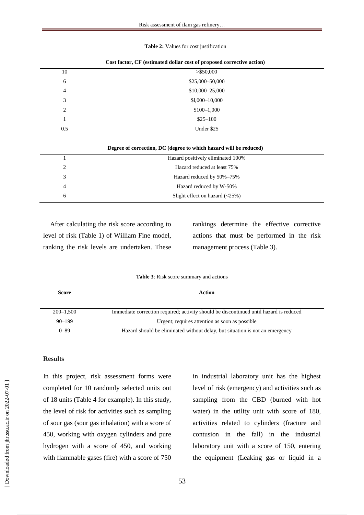#### **Table 2:** Values for cost justification

| 10             | $>$ \$50,000    |  |
|----------------|-----------------|--|
| 6              | \$25,000-50,000 |  |
| $\overline{4}$ | \$10,000-25,000 |  |
| 3              | $$1,000-10,000$ |  |
| 2              | \$100-1,000     |  |
|                | $$25-100$       |  |
| 0.5            | Under \$25      |  |
|                |                 |  |

| Cost factor, CF (estimated dollar cost of proposed corrective action) |  |  |  |
|-----------------------------------------------------------------------|--|--|--|
|-----------------------------------------------------------------------|--|--|--|

| Degree of correction, DC (degree to which hazard will be reduced) |                                       |  |  |  |  |  |  |  |
|-------------------------------------------------------------------|---------------------------------------|--|--|--|--|--|--|--|
|                                                                   | Hazard positively eliminated 100%     |  |  |  |  |  |  |  |
| 2                                                                 | Hazard reduced at least 75%           |  |  |  |  |  |  |  |
| 3                                                                 | Hazard reduced by 50%–75%             |  |  |  |  |  |  |  |
| 4                                                                 | Hazard reduced by W-50%               |  |  |  |  |  |  |  |
| 6                                                                 | Slight effect on hazard $(\leq 25\%)$ |  |  |  |  |  |  |  |

After calculating the risk score according to level of risk (Table 1) of William Fine model, ranking the risk levels are undertaken. These

rankings determine the effective corrective actions that must be performed in the risk management process (Table 3).

**Table 3**: Risk score summary and actions

| Score         | Action                                                                                 |
|---------------|----------------------------------------------------------------------------------------|
| $200 - 1.500$ | Immediate correction required; activity should be discontinued until hazard is reduced |
| $90 - 199$    | Urgent; requires attention as soon as possible                                         |
| $0 - 89$      | Hazard should be eliminated without delay, but situation is not an emergency           |

#### **Results**

In this project, risk assessment forms were completed for 10 randomly selected units out of 18 units (Table 4 for example). In this study, the level of risk for activities such as sampling of sour gas (sour gas inhalation) with a score of 450, working with oxygen cylinders and pure hydrogen with a score of 450, and working with flammable gases (fire) with a score of 750

in industrial laboratory unit has the highest level of risk (emergency) and activities such as sampling from the CBD (burned with hot water) in the utility unit with score of 180, activities related to cylinders (fracture and contusion in the fall) in the industrial laboratory unit with a score of 150, entering the equipment (Leaking gas or liquid in a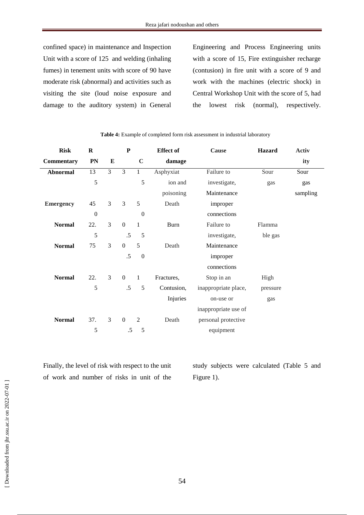confined space) in maintenance and Inspection Unit with a score of 125 and welding (inhaling fumes) in tenement units with score of 90 have moderate risk (abnormal) and activities such as visiting the site (loud noise exposure and damage to the auditory system) in General

Engineering and Process Engineering units with a score of 15, Fire extinguisher recharge (contusion) in fire unit with a score of 9 and work with the machines (electric shock) in Central Workshop Unit with the score of 5, had the lowest risk (normal), respectively.

| <b>Risk</b>      | $\bf R$          |          | ${\bf P}$        |                  | <b>Effect of</b> | Cause                | Hazard   | <b>Activ</b> |
|------------------|------------------|----------|------------------|------------------|------------------|----------------------|----------|--------------|
| Commentary       | PN               | $\bf{E}$ |                  | $\mathbf C$      | damage           |                      |          | ity          |
| <b>Abnormal</b>  | 13               | 3        | $\overline{3}$   | $1\,$            | Asphyxiat        | Failure to           | Sour     | Sour         |
|                  | 5                |          |                  | 5                | ion and          | investigate,         | gas      | gas          |
|                  |                  |          |                  |                  | poisoning        | Maintenance          |          | sampling     |
| <b>Emergency</b> | 45               | 3        | 3                | 5                | Death            | improper             |          |              |
|                  | $\boldsymbol{0}$ |          |                  | $\boldsymbol{0}$ |                  | connections          |          |              |
| <b>Normal</b>    | 22.              | 3        | $\mathbf{0}$     | $\mathbf{1}$     | <b>Burn</b>      | Failure to           | Flamma   |              |
|                  | 5                |          | .5               | 5                |                  | investigate,         | ble gas  |              |
| <b>Normal</b>    | 75               | 3        | $\boldsymbol{0}$ | 5                | Death            | Maintenance          |          |              |
|                  |                  |          | .5               | $\boldsymbol{0}$ |                  | improper             |          |              |
|                  |                  |          |                  |                  |                  | connections          |          |              |
| <b>Normal</b>    | 22.              | 3        | $\boldsymbol{0}$ | $\mathbf{1}$     | Fractures,       | Stop in an           | High     |              |
|                  | 5                |          | .5               | 5                | Contusion,       | inappropriate place, | pressure |              |
|                  |                  |          |                  |                  | Injuries         | on-use or            | gas      |              |
|                  |                  |          |                  |                  |                  | inappropriate use of |          |              |
| <b>Normal</b>    | 37.              | 3        | $\boldsymbol{0}$ | $\overline{2}$   | Death            | personal protective  |          |              |
|                  | 5                |          | $.5\,$           | 5                |                  | equipment            |          |              |

**Table 4:** Example of completed form risk assessment in industrial laboratory

Finally, the level of risk with respect to the unit of work and number of risks in unit of the

study subjects were calculated (Table 5 and Figure 1).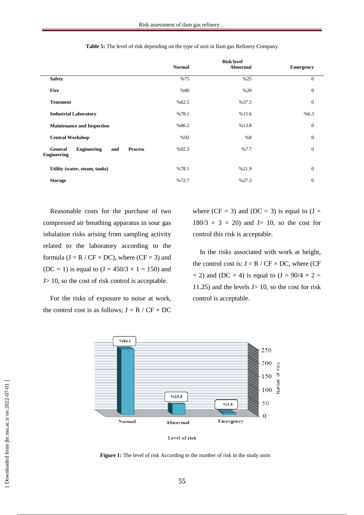|                                                                                     |               | <b>Risk level</b> |                  |
|-------------------------------------------------------------------------------------|---------------|-------------------|------------------|
|                                                                                     | <b>Normal</b> | Abnormal          | <b>Emergency</b> |
| <b>Safety</b>                                                                       | %75           | %25               | $\mathbf{0}$     |
| <b>Fire</b>                                                                         | %80           | %20               | $\mathbf{0}$     |
| <b>Tenement</b>                                                                     | %62.5         | %37.5             | $\mathbf{0}$     |
| <b>Industrial Laboratory</b>                                                        | %78.1         | %15.6             | %6.3             |
| <b>Maintenance and Inspection</b>                                                   | %86.2         | %13.8             | $\overline{0}$   |
| <b>Central Workshop</b>                                                             | %92           | %8                | $\mathbf{0}$     |
| <b>Engineering</b><br><b>Process</b><br><b>General</b><br>and<br><b>Engineering</b> | %92.3         | %7.7              | $\overline{0}$   |
| Utility (water, steam, tanks)                                                       | %78.1         | %21.9             | $\mathbf{0}$     |
| <b>Storage</b>                                                                      | %72.7         | %27.3             | $\mathbf{0}$     |

**Table 5:** The level of risk depending on the type of unit in Ilam gas Refinery Company

Reasonable costs for the purchase of two compressed air breathing apparatus in sour gas inhalation risks arising from sampling activity related to the laboratory according to the formula ( $J = R / CF \times DC$ ), where ( $CF = 3$ ) and (DC = 1) is equal to  $(J = 450/3 \times 1 = 150)$  and J> 10, so the cost of risk control is acceptable.

For the risks of exposure to noise at work, the control cost is as follows;  $J = R / CF \times DC$  where (CF = 3) and (DC = 3) is equal to  $(J =$  $180/3 \times 3 = 20$  and J is 10, so the cost for control this risk is acceptable.

In the risks associated with work at height, the control cost is:  $J = R / CF \times DC$ , where (CF  $= 2$ ) and (DC  $= 4$ ) is equal to (J  $= 90/4 \times 2 =$ 11.25) and the levels  $J > 10$ , so the cost for risk control is acceptable.



Level of risk

**Figure 1:** The level of risk According to the number of risk in the study units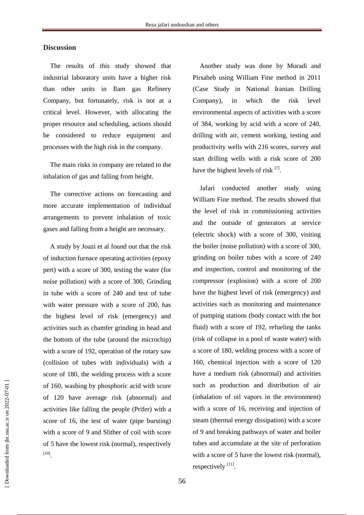### **Discussion**

The results of this study showed that industrial laboratory units have a higher risk than other units in Ilam gas Refinery Company, but fortunately, risk is not at a critical level. However, with allocating the proper resource and scheduling, actions should be considered to reduce equipment and processes with the high risk in the company.

The main risks in company are related to the inhalation of gas and falling from height.

The corrective actions on forecasting and more accurate implementation of individual arrangements to prevent inhalation of toxic gases and falling from a height are necessary.

A study by Joazi et al found out that the risk of induction furnace operating activities (epoxy pert) with a score of 300, testing the water (for noise pollution) with a score of 300, Grinding in tube with a score of 240 and test of tube with water pressure with a score of 200, has the highest level of risk (emergency) and activities such as chamfer grinding in head and the bottom of the tube (around the microchip) with a score of 192, operation of the rotary saw (collision of tubes with individuals) with a score of 180, the welding process with a score of 160, washing by phosphoric acid with score of 120 have average risk (abnormal) and activities like falling the people (Prifer) with a score of 16, the test of water (pipe bursting) with a score of 9 and Slither of coil with score of 5 have the lowest risk (normal), respectively [10] .

Another study was done by Moradi and Pirsaheb using William Fine method in 2011 (Case Study in National Iranian Drilling Company), in which the risk level environmental aspects of activities with a score of 384, working by acid with a score of 240, drilling with air, cement working, testing and productivity wells with 216 scores, survey and start drilling wells with a risk score of 200 have the highest levels of risk [7].

Jafari conducted another study using William Fine method. The results showed that the level of risk in commissioning activities and the outside of generators at service (electric shock) with a score of 300, visiting the boiler (noise pollution) with a score of 300, grinding on boiler tubes with a score of 240 and inspection, control and monitoring of the compressor (explosion) with a score of 200 have the highest level of risk (emergency) and activities such as monitoring and maintenance of pumping stations (body contact with the hot fluid) with a score of 192, refueling the tanks (risk of collapse in a pool of waste water) with a score of 180, welding process with a score of 160, chemical injection with a score of 120 have a medium risk (abnormal) and activities such as production and distribution of air (inhalation of oil vapors in the environment) with a score of 16, receiving and injection of steam (thermal energy dissipation) with a score of 9 and breaking pathways of water and boiler tubes and accumulate at the site of perforation with a score of 5 have the lowest risk (normal), respectively  $^{[11]}$ .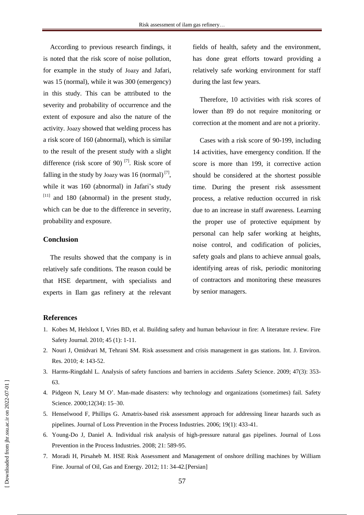According to previous research findings, it is noted that the risk score of noise pollution, for example in the study of Joazy and Jafari, was 15 (normal), while it was 300 (emergency) in this study. This can be attributed to the severity and probability of occurrence and the extent of exposure and also the nature of the activity. Joazy showed that welding process has a risk score of 160 (abnormal), which is similar to the result of the present study with a slight difference (risk score of 90)<sup>[7]</sup>. Risk score of falling in the study by Joazy was 16 (normal) $^{[7]}$ , while it was 160 (abnormal) in Jafari's study  $[11]$  and 180 (abnormal) in the present study, which can be due to the difference in severity, probability and exposure.

## **Conclusion**

The results showed that the company is in relatively safe conditions. The reason could be that HSE department, with specialists and experts in Ilam gas refinery at the relevant

fields of health, safety and the environment, has done great efforts toward providing a relatively safe working environment for staff during the last few years.

Therefore, 10 activities with risk scores of lower than 89 do not require monitoring or correction at the moment and are not a priority.

Cases with a risk score of 90-199, including 14 activities, have emergency condition. If the score is more than 199, it corrective action should be considered at the shortest possible time. During the present risk assessment process, a relative reduction occurred in risk due to an increase in staff awareness. Learning the proper use of protective equipment by personal can help safer working at heights, noise control, and codification of policies, safety goals and plans to achieve annual goals, identifying areas of risk, periodic monitoring of contractors and monitoring these measures by senior managers.

## **References**

- 1. Kobes M, Helsloot I, Vries BD, et al. Building safety and human behaviour in fire: A literature review. Fire Safety Journal. 2010; 45 (1): 1-11.
- 2. Nouri J, Omidvari M, Tehrani SM. Risk assessment and crisis management in gas stations. Int. J. Environ. Res. 2010; 4: 143-52.
- 3. Harms-Ringdahl L. Analysis of safety functions and barriers in accidents .Safety Science. 2009; 47(3): 353- 63.
- 4. Pidgeon N, Leary M O'. Man-made disasters: why technology and organizations (sometimes) fail. Safety Science. 2000;12(34): 15–30.
- 5. Henselwood F, Phillips G. Amatrix-based risk assessment approach for addressing linear hazards such as pipelines. Journal of Loss Prevention in the Process Industries. 2006; 19(1): 433-41.
- 6. Young-Do J, Daniel A. Individual risk analysis of high-pressure natural gas pipelines. Journal of Loss Prevention in the Process Industries. 2008; 21: 589-95.
- 7. Moradi H, Pirsaheb M. HSE Risk Assessment and Management of onshore drilling machines by William Fine. Journal of Oil, Gas and Energy. 2012; 11: 34-42.[Persian]